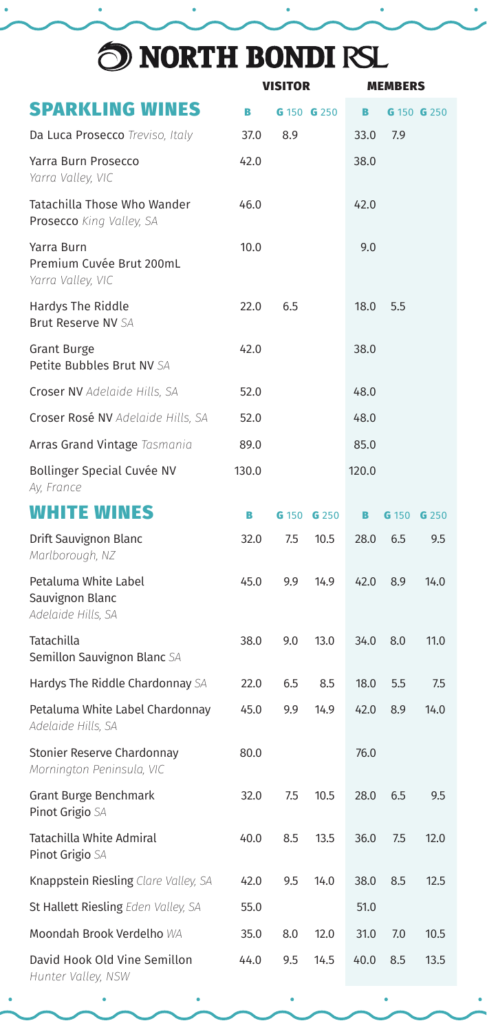## O NORTH BONDI RSL

|                                                               | <b>VISITOR</b> |     |             |       | <b>MEMBERS</b> |             |  |
|---------------------------------------------------------------|----------------|-----|-------------|-------|----------------|-------------|--|
| <b>SPARKLING WINES</b>                                        | B              |     | G 150 G 250 | B     |                | G 150 G 250 |  |
| Da Luca Prosecco Treviso, Italy                               | 37.0           | 8.9 |             | 33.0  | 7.9            |             |  |
| Yarra Burn Prosecco<br>Yarra Valley, VIC                      | 42.0           |     |             | 38.0  |                |             |  |
| Tatachilla Those Who Wander<br>Prosecco King Valley, SA       | 46.0           |     |             | 42.0  |                |             |  |
| Yarra Burn<br>Premium Cuvée Brut 200mL<br>Yarra Valley, VIC   | 10.0           |     |             | 9.0   |                |             |  |
| Hardys The Riddle<br>Brut Reserve NV SA                       | 22.0           | 6.5 |             | 18.0  | 5.5            |             |  |
| <b>Grant Burge</b><br>Petite Bubbles Brut NV SA               | 42.0           |     |             | 38.0  |                |             |  |
| Croser NV Adelaide Hills, SA                                  | 52.0           |     |             | 48.0  |                |             |  |
| Croser Rosé NV Adelaide Hills, SA                             | 52.0           |     |             | 48.0  |                |             |  |
| Arras Grand Vintage Tasmania                                  | 89.0           |     |             | 85.0  |                |             |  |
| Bollinger Special Cuvée NV<br>Ay, France                      | 130.0          |     |             | 120.0 |                |             |  |
| <b>WHITE WINES</b>                                            | в              |     | G 150 G 250 | в     | G 150          | G 250       |  |
| Drift Sauvignon Blanc<br>Marlborough, NZ                      | 32.0           | 7.5 | 10.5        | 28.0  | 6.5            | 9.5         |  |
| Petaluma White Label<br>Sauvignon Blanc<br>Adelaide Hills, SA | 45.0           | 9.9 | 14.9        | 42.0  | 8.9            | 14.0        |  |
| Tatachilla<br><b>Semillon Sauvignon Blanc SA</b>              | 38.0           | 9.0 | 13.0        | 34.0  | 8.0            | 11.0        |  |
| Hardys The Riddle Chardonnay SA                               | 22.0           | 6.5 | 8.5         | 18.0  | 5.5            | 7.5         |  |
| Petaluma White Label Chardonnay<br>Adelaide Hills, SA         | 45.0           | 9.9 | 14.9        | 42.0  | 8.9            | 14.0        |  |
| Stonier Reserve Chardonnay<br>Mornington Peninsula, VIC       | 80.0           |     |             | 76.0  |                |             |  |
| Grant Burge Benchmark<br>Pinot Grigio SA                      | 32.0           | 7.5 | 10.5        | 28.0  | 6.5            | 9.5         |  |
| Tatachilla White Admiral<br>Pinot Grigio SA                   | 40.0           | 8.5 | 13.5        | 36.0  | 7.5            | 12.0        |  |
| Knappstein Riesling Clare Valley, SA                          | 42.0           | 9.5 | 14.0        | 38.0  | 8.5            | 12.5        |  |
| St Hallett Riesling Eden Valley, SA                           | 55.0           |     |             | 51.0  |                |             |  |
| Moondah Brook Verdelho WA                                     | 35.0           | 8.0 | 12.0        | 31.0  | 7.0            | 10.5        |  |
| David Hook Old Vine Semillon<br>Hunter Valley, NSW            | 44.0           | 9.5 | 14.5        | 40.0  | 8.5            | 13.5        |  |